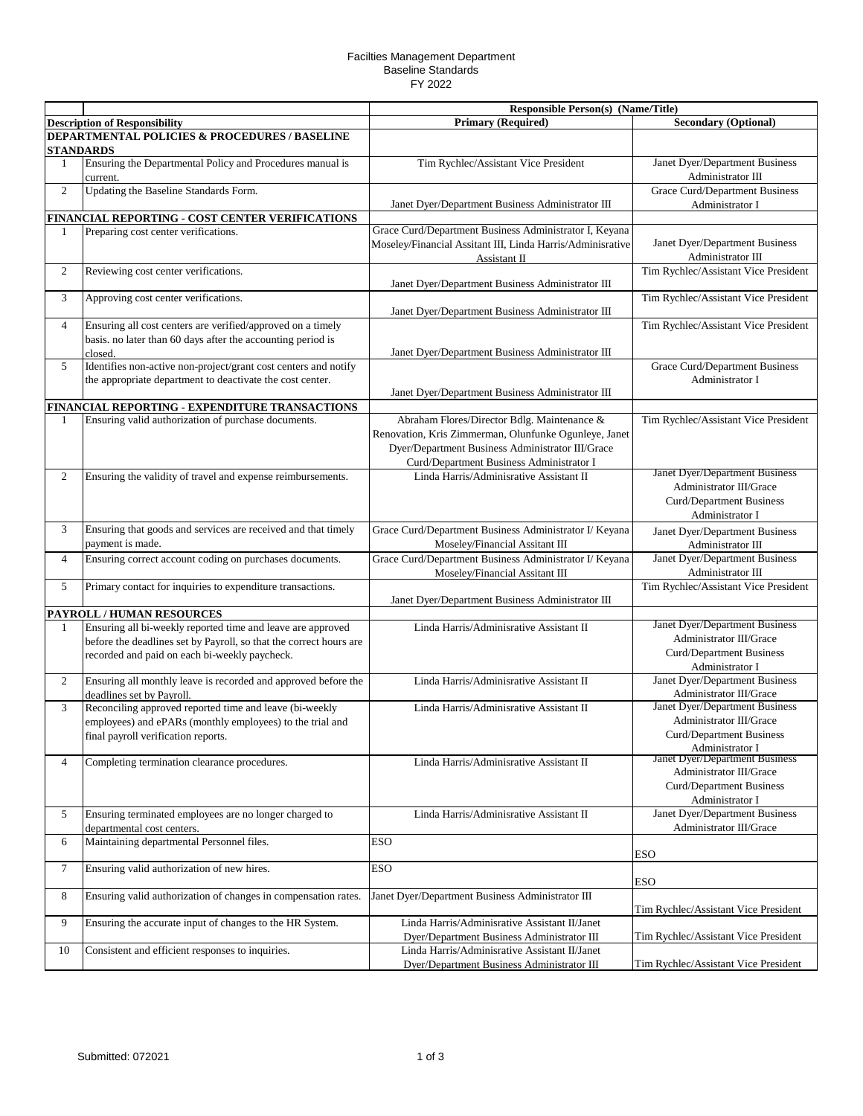## Facilties Management Department Baseline Standards FY 2022

|                |                                                                                          | Responsible Person(s) (Name/Title)                                         |                                                           |
|----------------|------------------------------------------------------------------------------------------|----------------------------------------------------------------------------|-----------------------------------------------------------|
|                | <b>Description of Responsibility</b>                                                     | <b>Primary (Required)</b>                                                  | <b>Secondary (Optional)</b>                               |
|                | DEPARTMENTAL POLICIES & PROCEDURES / BASELINE                                            |                                                                            |                                                           |
| STANDARDS      |                                                                                          |                                                                            |                                                           |
| 1              | Ensuring the Departmental Policy and Procedures manual is<br>current.                    | Tim Rychlec/Assistant Vice President                                       | Janet Dyer/Department Business<br>Administrator III       |
| 2              | Updating the Baseline Standards Form.                                                    |                                                                            | <b>Grace Curd/Department Business</b>                     |
|                |                                                                                          | Janet Dyer/Department Business Administrator III                           | Administrator I                                           |
|                | FINANCIAL REPORTING - COST CENTER VERIFICATIONS                                          |                                                                            |                                                           |
| 1              | Preparing cost center verifications.                                                     | Grace Curd/Department Business Administrator I, Keyana                     |                                                           |
|                |                                                                                          | Moseley/Financial Assitant III, Linda Harris/Adminisrative<br>Assistant II | Janet Dyer/Department Business<br>Administrator III       |
| 2              | Reviewing cost center verifications.                                                     |                                                                            | Tim Rychlec/Assistant Vice President                      |
|                |                                                                                          | Janet Dyer/Department Business Administrator III                           |                                                           |
| 3              | Approving cost center verifications.                                                     | Janet Dyer/Department Business Administrator III                           | Tim Rychlec/Assistant Vice President                      |
| $\overline{4}$ | Ensuring all cost centers are verified/approved on a timely                              |                                                                            | Tim Rychlec/Assistant Vice President                      |
|                | basis. no later than 60 days after the accounting period is<br>closed.                   | Janet Dyer/Department Business Administrator III                           |                                                           |
| 5              | Identifies non-active non-project/grant cost centers and notify                          |                                                                            | Grace Curd/Department Business                            |
|                | the appropriate department to deactivate the cost center.                                | Janet Dyer/Department Business Administrator III                           | Administrator I                                           |
|                | FINANCIAL REPORTING - EXPENDITURE TRANSACTIONS                                           |                                                                            |                                                           |
| 1              | Ensuring valid authorization of purchase documents.                                      | Abraham Flores/Director Bdlg. Maintenance &                                | Tim Rychlec/Assistant Vice President                      |
|                |                                                                                          | Renovation, Kris Zimmerman, Olunfunke Ogunleye, Janet                      |                                                           |
|                |                                                                                          | Dyer/Department Business Administrator III/Grace                           |                                                           |
|                |                                                                                          | Curd/Department Business Administrator I                                   |                                                           |
| 2              | Ensuring the validity of travel and expense reimbursements.                              | Linda Harris/Adminisrative Assistant II                                    | Janet Dyer/Department Business                            |
|                |                                                                                          |                                                                            | Administrator III/Grace                                   |
|                |                                                                                          |                                                                            | Curd/Department Business                                  |
|                |                                                                                          |                                                                            | Administrator I                                           |
| 3              | Ensuring that goods and services are received and that timely                            | Grace Curd/Department Business Administrator I/ Keyana                     | Janet Dyer/Department Business                            |
|                | payment is made.                                                                         | Moseley/Financial Assitant III                                             | Administrator III                                         |
| $\overline{4}$ | Ensuring correct account coding on purchases documents.                                  | Grace Curd/Department Business Administrator I/ Keyana                     | Janet Dyer/Department Business                            |
|                |                                                                                          | Moseley/Financial Assitant III                                             | Administrator III                                         |
| 5              | Primary contact for inquiries to expenditure transactions.                               |                                                                            | Tim Rychlec/Assistant Vice President                      |
|                |                                                                                          | Janet Dyer/Department Business Administrator III                           |                                                           |
|                | PAYROLL / HUMAN RESOURCES<br>Ensuring all bi-weekly reported time and leave are approved |                                                                            | Janet Dyer/Department Business                            |
| 1              |                                                                                          | Linda Harris/Adminisrative Assistant II                                    | Administrator III/Grace                                   |
|                | before the deadlines set by Payroll, so that the correct hours are                       |                                                                            | Curd/Department Business                                  |
|                | recorded and paid on each bi-weekly paycheck.                                            |                                                                            | Administrator I                                           |
| $\overline{2}$ | Ensuring all monthly leave is recorded and approved before the                           | Linda Harris/Adminisrative Assistant II                                    | Janet Dyer/Department Business                            |
|                | deadlines set by Payroll.                                                                |                                                                            | Administrator III/Grace                                   |
| 3              | Reconciling approved reported time and leave (bi-weekly                                  | Linda Harris/Adminisrative Assistant II                                    | Janet Dyer/Department Business                            |
|                | employees) and ePARs (monthly employees) to the trial and                                |                                                                            | Administrator III/Grace                                   |
|                | final payroll verification reports.                                                      |                                                                            | Curd/Department Business                                  |
|                |                                                                                          |                                                                            | Administrator I                                           |
| $\overline{4}$ | Completing termination clearance procedures.                                             | Linda Harris/Adminisrative Assistant II                                    | Janet Dyer/Department Business<br>Administrator III/Grace |
|                |                                                                                          |                                                                            | Curd/Department Business                                  |
|                |                                                                                          |                                                                            | Administrator I                                           |
| 5              | Ensuring terminated employees are no longer charged to                                   | Linda Harris/Adminisrative Assistant II                                    | Janet Dyer/Department Business                            |
|                | departmental cost centers.                                                               |                                                                            | Administrator III/Grace                                   |
| 6              | Maintaining departmental Personnel files.                                                | <b>ESO</b>                                                                 |                                                           |
|                |                                                                                          |                                                                            | <b>ESO</b>                                                |
| 7              | Ensuring valid authorization of new hires.                                               | <b>ESO</b>                                                                 | ESO                                                       |
| 8              | Ensuring valid authorization of changes in compensation rates.                           | Janet Dyer/Department Business Administrator III                           |                                                           |
|                |                                                                                          |                                                                            | Tim Rychlec/Assistant Vice President                      |
| 9              | Ensuring the accurate input of changes to the HR System.                                 | Linda Harris/Adminisrative Assistant II/Janet                              |                                                           |
|                |                                                                                          | Dyer/Department Business Administrator III                                 | Tim Rychlec/Assistant Vice President                      |
| 10             | Consistent and efficient responses to inquiries.                                         | Linda Harris/Adminisrative Assistant II/Janet                              |                                                           |
|                |                                                                                          | Dyer/Department Business Administrator III                                 | Tim Rychlec/Assistant Vice President                      |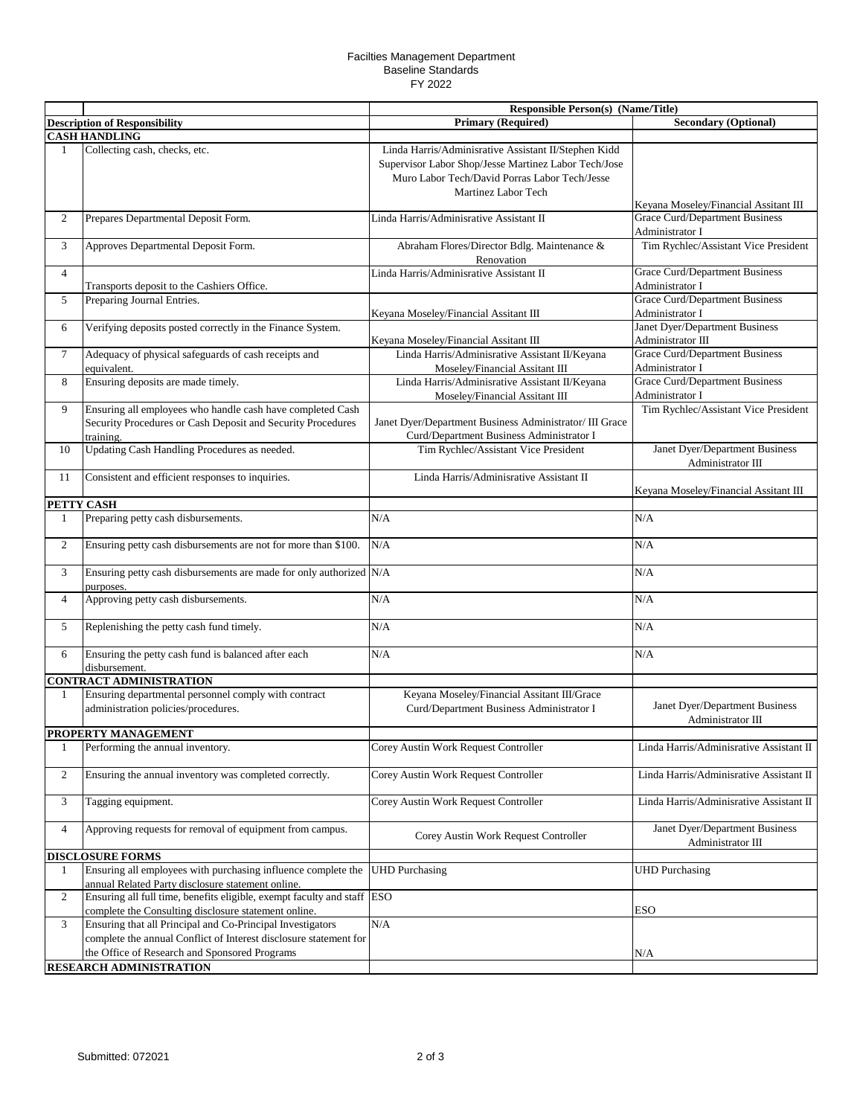## Facilties Management Department Baseline Standards FY 2022

|                |                                                                                                                                        | <b>Responsible Person(s) (Name/Title)</b>                                                                                                                                            |                                                                                |  |
|----------------|----------------------------------------------------------------------------------------------------------------------------------------|--------------------------------------------------------------------------------------------------------------------------------------------------------------------------------------|--------------------------------------------------------------------------------|--|
|                | <b>Description of Responsibility</b>                                                                                                   | <b>Primary (Required)</b>                                                                                                                                                            | <b>Secondary (Optional)</b>                                                    |  |
|                | <b>CASH HANDLING</b>                                                                                                                   |                                                                                                                                                                                      |                                                                                |  |
| $\mathbf{1}$   | Collecting cash, checks, etc.                                                                                                          | Linda Harris/Adminisrative Assistant II/Stephen Kidd<br>Supervisor Labor Shop/Jesse Martinez Labor Tech/Jose<br>Muro Labor Tech/David Porras Labor Tech/Jesse<br>Martinez Labor Tech |                                                                                |  |
| 2              | Prepares Departmental Deposit Form.                                                                                                    | Linda Harris/Adminisrative Assistant II                                                                                                                                              | Keyana Moseley/Financial Assitant III<br><b>Grace Curd/Department Business</b> |  |
| 3              | Approves Departmental Deposit Form.                                                                                                    | Abraham Flores/Director Bdlg. Maintenance &                                                                                                                                          | Administrator I<br>Tim Rychlec/Assistant Vice President                        |  |
| $\overline{4}$ |                                                                                                                                        | Renovation<br>Linda Harris/Adminisrative Assistant II                                                                                                                                | <b>Grace Curd/Department Business</b>                                          |  |
| 5              | Transports deposit to the Cashiers Office.<br>Preparing Journal Entries.                                                               |                                                                                                                                                                                      | Administrator I<br><b>Grace Curd/Department Business</b>                       |  |
| 6              | Verifying deposits posted correctly in the Finance System.                                                                             | Keyana Moseley/Financial Assitant III                                                                                                                                                | Administrator I<br>Janet Dyer/Department Business                              |  |
| $\tau$         | Adequacy of physical safeguards of cash receipts and                                                                                   | Keyana Moseley/Financial Assitant III<br>Linda Harris/Adminisrative Assistant II/Keyana                                                                                              | Administrator III<br><b>Grace Curd/Department Business</b>                     |  |
| 8              | equivalent.<br>Ensuring deposits are made timely.                                                                                      | Moseley/Financial Assitant III<br>Linda Harris/Adminisrative Assistant II/Keyana                                                                                                     | Administrator I<br><b>Grace Curd/Department Business</b>                       |  |
| 9              | Ensuring all employees who handle cash have completed Cash<br>Security Procedures or Cash Deposit and Security Procedures<br>training. | Moseley/Financial Assitant III<br>Janet Dyer/Department Business Administrator/ III Grace<br>Curd/Department Business Administrator I                                                | Administrator I<br>Tim Rychlec/Assistant Vice President                        |  |
| 10             | Updating Cash Handling Procedures as needed.                                                                                           | Tim Rychlec/Assistant Vice President                                                                                                                                                 | Janet Dyer/Department Business<br>Administrator III                            |  |
| 11             | Consistent and efficient responses to inquiries.                                                                                       | Linda Harris/Adminisrative Assistant II                                                                                                                                              | Keyana Moseley/Financial Assitant III                                          |  |
|                | PETTY CASH                                                                                                                             |                                                                                                                                                                                      |                                                                                |  |
| $\mathbf{1}$   | Preparing petty cash disbursements.                                                                                                    | N/A                                                                                                                                                                                  | N/A                                                                            |  |
| $\overline{2}$ | Ensuring petty cash disbursements are not for more than \$100.                                                                         | N/A                                                                                                                                                                                  | N/A                                                                            |  |
| 3              | Ensuring petty cash disbursements are made for only authorized N/A<br>purposes.                                                        |                                                                                                                                                                                      | N/A                                                                            |  |
| $\overline{4}$ | Approving petty cash disbursements.                                                                                                    | N/A                                                                                                                                                                                  | N/A                                                                            |  |
| 5              | Replenishing the petty cash fund timely.                                                                                               | N/A                                                                                                                                                                                  | N/A                                                                            |  |
| 6              | Ensuring the petty cash fund is balanced after each<br>disbursement.                                                                   | N/A                                                                                                                                                                                  | N/A                                                                            |  |
|                | <b>CONTRACT ADMINISTRATION</b>                                                                                                         |                                                                                                                                                                                      |                                                                                |  |
| 1              | Ensuring departmental personnel comply with contract<br>administration policies/procedures.                                            | Keyana Moseley/Financial Assitant III/Grace<br>Curd/Department Business Administrator I                                                                                              | Janet Dyer/Department Business<br>Administrator III                            |  |
|                | PROPERTY MANAGEMENT                                                                                                                    |                                                                                                                                                                                      |                                                                                |  |
| 1              | Performing the annual inventory.                                                                                                       | Corey Austin Work Request Controller                                                                                                                                                 | Linda Harris/Adminisrative Assistant II                                        |  |
| 2              | Ensuring the annual inventory was completed correctly.                                                                                 | Corey Austin Work Request Controller                                                                                                                                                 | Linda Harris/Adminisrative Assistant II                                        |  |
| 3              | Tagging equipment.                                                                                                                     | Corey Austin Work Request Controller                                                                                                                                                 | Linda Harris/Adminisrative Assistant II                                        |  |
| 4              | Approving requests for removal of equipment from campus.                                                                               | Corey Austin Work Request Controller                                                                                                                                                 | Janet Dyer/Department Business<br>Administrator III                            |  |
|                | <b>DISCLOSURE FORMS</b>                                                                                                                |                                                                                                                                                                                      |                                                                                |  |
| $\perp$        | Ensuring all employees with purchasing influence complete the<br>annual Related Party disclosure statement online.                     | <b>UHD Purchasing</b>                                                                                                                                                                | <b>UHD</b> Purchasing                                                          |  |
| 2              | Ensuring all full time, benefits eligible, exempt faculty and staff ESO<br>complete the Consulting disclosure statement online.        |                                                                                                                                                                                      | <b>ESO</b>                                                                     |  |
| 3              | Ensuring that all Principal and Co-Principal Investigators<br>complete the annual Conflict of Interest disclosure statement for        | N/A                                                                                                                                                                                  |                                                                                |  |
|                | the Office of Research and Sponsored Programs                                                                                          |                                                                                                                                                                                      | N/A                                                                            |  |
|                | RESEARCH ADMINISTRATION                                                                                                                |                                                                                                                                                                                      |                                                                                |  |